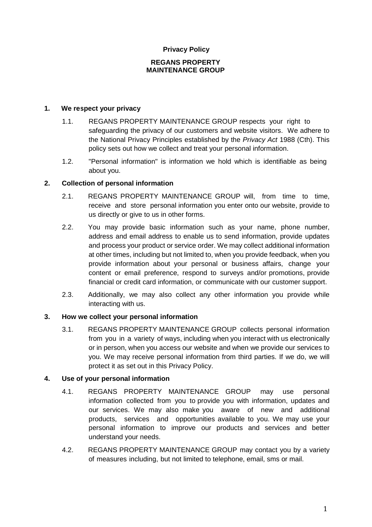## **Privacy Policy**

#### **REGANS PROPERTY MAINTENANCE GROUP**

### **1. We re spect your privacy**

- 1.1. REGANS PROPERTY MAINTENANCE GROUP respects your right to safequarding the privacy of our customers and website visitors. We adhere to the National Privacy Principles established by the *Privacy Act* 1988 (Cth). This policy sets out how we collect and treat your personal information.
- 1.2. "Personal information" is information we hold which is identifiable as being about you.

# **2. Collection of personal information**

- 2.1. REGANS PROPERTY MAINTENANCE GROUP will, from time to time, receive and store personal information you enter onto our website, provide to us directly or give to us in other forms.
- 2.2. You may provide basic information such as your name, phone number, address and email address to enable us to send information, provide updates and process your product or service order. We may collect additional information at other times, including but not limited to, when you provide feedback, when you provide information about your personal or business affairs, change your content or email preference, respond to surveys and/or promotions, provide financial or credit card information, or communicate with our customer support.
- 2.3. Additionally, we may also collect any other information you provide while interacting with us.

### **3. How we collect your personal information**

3.1. REGANS PROPERTY MAINTENANCE GROUP collects personal information from you in a variety of ways, including when you interact with us electronically or in person, when you access our website and when we provide our services to you. We may receive personal information from third parties. If we do, we will protect it as set out in this Privacy Policy.

### **4. Use of your personal information**

- 4.1. REGANS PROPERTY MAINTENANCE GROUP may use personal information collected from you to provide you with information, updates and our services. We may also make you aware of new and additional products, services and opportunities available to you. We may use your personal information to improve our products and services and better understand your needs.
- 4.2. REGANS PROPERTY MAINTENANCE GROUP may contact you by a variety of measures including, but not limited to telephone, email, sms or mail.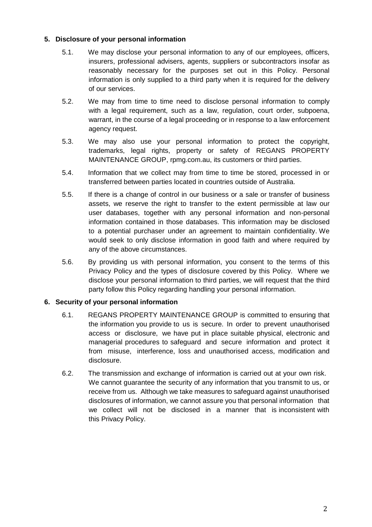# **5. Disclosure of your personal information**

- 5.1. We may disclose your personal information to any of our employees, officers, insurers, professional advisers, agents, suppliers or subcontractors insofar as reasonably necessary for the purposes set out in this Policy. Personal information is only supplied to a third party when it is required for the delivery of our services.
- 5.2. We may from time to time need to disclose personal information to comply with a legal requirement, such as a law, regulation, court order, subpoena, warrant, in the course of a legal proceeding or in response to a law enforcement agency request.
- 5.3. We may also use your personal information to protect the copyright, trademarks, legal rights, property or safety of REGANS PROPERTY MAINTENANCE GROUP, rpmg.com.au, its customers or third parties.
- 5.4. Information that we collect may from time to time be stored, processed in or transferred between parties located in countries outside of Australia.
- 5.5. If there is a change of control in our business or a sale or transfer of business assets, we reserve the right to transfer to the extent permissible at law our user databases, together with any personal information and non-personal information contained in those databases. This information may be disclosed to a potential purchaser under an agreement to maintain confidentiality. We would seek to only disclose information in good faith and where required by any of the above circumstances.
- 5.6. By providing us with personal information, you consent to the terms of this Privacy Policy and the types of disclosure covered by this Policy. Where we disclose your personal information to third parties, we will request that the third party follow this Policy regarding handling your personal information.

### **6. Security of your personal information**

- 6.1. REGANS PROPERTY MAINTENANCE GROUP is committed to ensuring that the information you provide to us is secure. In order to prevent unauthorised access or disclosure, we have put in place suitable physical, electronic and managerial procedures to safeguard and secure information and protect it from misuse, interference, loss and unauthorised access, modification and disclosure.
- 6.2. The transmission and exchange of information is carried out at your own risk. We cannot guarantee the security of any information that you transmit to us, or receive from us. Although we take measures to safeguard against unauthorised disclosures of information, we cannot assure you that personal information that we collect will not be disclosed in a manner that is inconsistent with this Privacy Policy.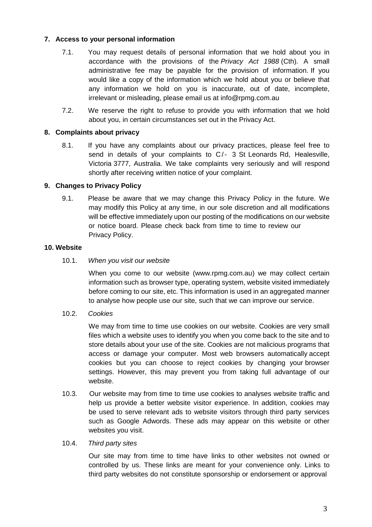# **7. Access to your personal information**

- 7.1. You may request details of personal information that we hold about you in accordance with the provisions of the *Privacy Act 1988* (Cth). A small administrative fee may be payable for the provision of information. If you would like a copy of the information which we hold about you or believe that any information we hold on you is inaccurate, out of date, incomplete, irrelevant or misleading, please email us at info@rpmg.com.au
- 7.2. We reserve the right to refuse to provide you with information that we hold about you, in certain circumstances set out in the Privacy Act.

### **8. Complaints about privacy**

8.1. If you have any complaints about our privacy practices, please feel free to send in details of your complaints to C/- 3 St Leonards Rd, Healesville, Victoria 3777, Australia. We take complaints very seriously and will respond shortly after receiving written notice of your complaint.

# **9. Changes to Privacy Policy**

9.1. Please be aware that we may change this Privacy Policy in the future. We may modify this Policy at any time, in our sole discretion and all modifications will be effective immediately upon our posting of the modifications on our website or notice board. Please check back from time to time to review our Privacy Policy.

### **10. Website**

10.1. *When you visit our website*

When you come to our website (www.rpmg.com.au) we may collect certain information such as browser type, operating system, website visited immediately before coming to our site, etc. This information is used in an aggregated manner to analyse how people use our site, such that we can improve our service.

10.2. *Cookies*

We may from time to time use cookies on our website. Cookies are very small files which a website uses to identify you when you come back to the site and to store details about your use of the site. Cookies are not malicious programs that access or damage your computer. Most web browsers automatically accept cookies but you can choose to reject cookies by changing your browser settings. However, this may prevent you from taking full advantage of our website.

10.3. Our website may from time to time use cookies to analyses website traffic and help us provide a better website visitor experience. In addition, cookies may be used to serve relevant ads to website visitors through third party services such as Google Adwords. These ads may appear on this website or other websites you visit.

### 10.4. *Third party sites*

Our site may from time to time have links to other websites not owned or controlled by us. These links are meant for your convenience only. Links to third party websites do not constitute sponsorship or endorsement or approval